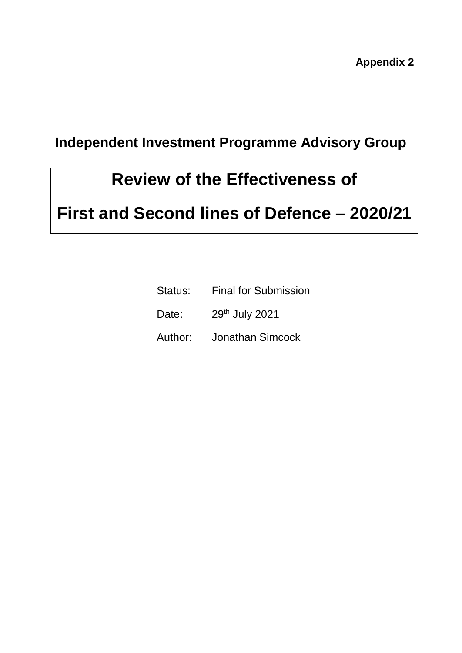**Appendix 2**

### **Independent Investment Programme Advisory Group**

## **Review of the Effectiveness of**

# **First and Second lines of Defence – 2020/21**

| Status: | <b>Final for Submission</b> |
|---------|-----------------------------|
| Date:   | 29th July 2021              |

Author: Jonathan Simcock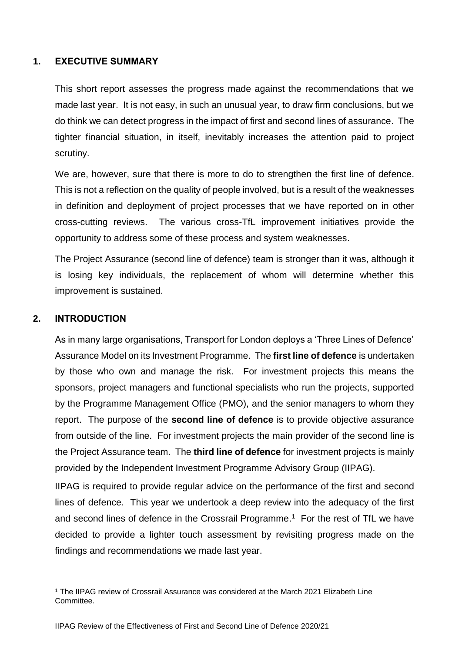### **1. EXECUTIVE SUMMARY**

This short report assesses the progress made against the recommendations that we made last year. It is not easy, in such an unusual year, to draw firm conclusions, but we do think we can detect progress in the impact of first and second lines of assurance. The tighter financial situation, in itself, inevitably increases the attention paid to project scrutiny.

We are, however, sure that there is more to do to strengthen the first line of defence. This is not a reflection on the quality of people involved, but is a result of the weaknesses in definition and deployment of project processes that we have reported on in other cross-cutting reviews. The various cross-TfL improvement initiatives provide the opportunity to address some of these process and system weaknesses.

The Project Assurance (second line of defence) team is stronger than it was, although it is losing key individuals, the replacement of whom will determine whether this improvement is sustained.

### **2. INTRODUCTION**

As in many large organisations, Transport for London deploys a 'Three Lines of Defence' Assurance Model on its Investment Programme. The **first line of defence** is undertaken by those who own and manage the risk. For investment projects this means the sponsors, project managers and functional specialists who run the projects, supported by the Programme Management Office (PMO), and the senior managers to whom they report. The purpose of the **second line of defence** is to provide objective assurance from outside of the line. For investment projects the main provider of the second line is the Project Assurance team. The **third line of defence** for investment projects is mainly provided by the Independent Investment Programme Advisory Group (IIPAG).

IIPAG is required to provide regular advice on the performance of the first and second lines of defence. This year we undertook a deep review into the adequacy of the first and second lines of defence in the Crossrail Programme.<sup>1</sup> For the rest of TfL we have decided to provide a lighter touch assessment by revisiting progress made on the findings and recommendations we made last year.

l <sup>1</sup> The IIPAG review of Crossrail Assurance was considered at the March 2021 Elizabeth Line Committee.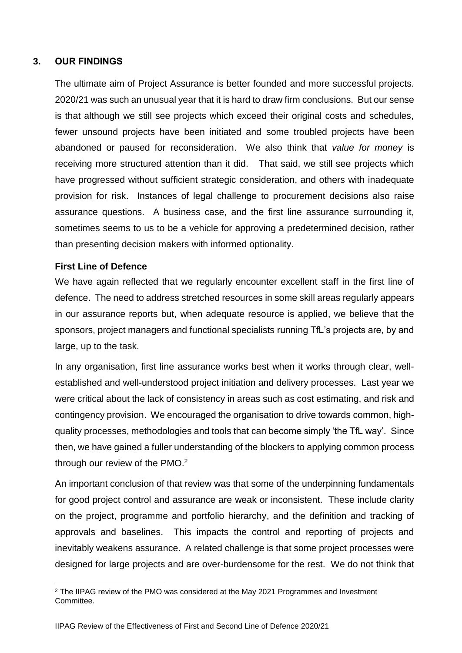### **3. OUR FINDINGS**

The ultimate aim of Project Assurance is better founded and more successful projects. 2020/21 was such an unusual year that it is hard to draw firm conclusions. But our sense is that although we still see projects which exceed their original costs and schedules, fewer unsound projects have been initiated and some troubled projects have been abandoned or paused for reconsideration. We also think that *value for money* is receiving more structured attention than it did. That said, we still see projects which have progressed without sufficient strategic consideration, and others with inadequate provision for risk. Instances of legal challenge to procurement decisions also raise assurance questions. A business case, and the first line assurance surrounding it, sometimes seems to us to be a vehicle for approving a predetermined decision, rather than presenting decision makers with informed optionality.

#### **First Line of Defence**

We have again reflected that we regularly encounter excellent staff in the first line of defence. The need to address stretched resources in some skill areas regularly appears in our assurance reports but, when adequate resource is applied, we believe that the sponsors, project managers and functional specialists running TfL's projects are, by and large, up to the task.

In any organisation, first line assurance works best when it works through clear, wellestablished and well-understood project initiation and delivery processes. Last year we were critical about the lack of consistency in areas such as cost estimating, and risk and contingency provision. We encouraged the organisation to drive towards common, highquality processes, methodologies and tools that can become simply 'the TfL way'. Since then, we have gained a fuller understanding of the blockers to applying common process through our review of the PMO. $2$ 

An important conclusion of that review was that some of the underpinning fundamentals for good project control and assurance are weak or inconsistent. These include clarity on the project, programme and portfolio hierarchy, and the definition and tracking of approvals and baselines. This impacts the control and reporting of projects and inevitably weakens assurance. A related challenge is that some project processes were designed for large projects and are over-burdensome for the rest. We do not think that

l <sup>2</sup> The IIPAG review of the PMO was considered at the May 2021 Programmes and Investment Committee.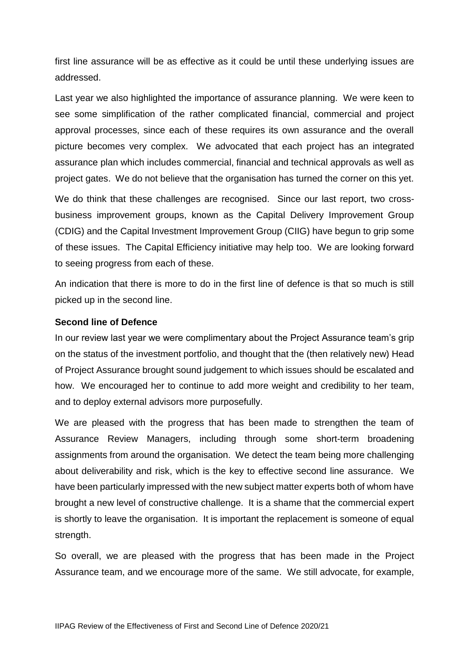first line assurance will be as effective as it could be until these underlying issues are addressed.

Last year we also highlighted the importance of assurance planning. We were keen to see some simplification of the rather complicated financial, commercial and project approval processes, since each of these requires its own assurance and the overall picture becomes very complex. We advocated that each project has an integrated assurance plan which includes commercial, financial and technical approvals as well as project gates. We do not believe that the organisation has turned the corner on this yet.

We do think that these challenges are recognised. Since our last report, two crossbusiness improvement groups, known as the Capital Delivery Improvement Group (CDIG) and the Capital Investment Improvement Group (CIIG) have begun to grip some of these issues. The Capital Efficiency initiative may help too. We are looking forward to seeing progress from each of these.

An indication that there is more to do in the first line of defence is that so much is still picked up in the second line.

#### **Second line of Defence**

In our review last year we were complimentary about the Project Assurance team's grip on the status of the investment portfolio, and thought that the (then relatively new) Head of Project Assurance brought sound judgement to which issues should be escalated and how. We encouraged her to continue to add more weight and credibility to her team, and to deploy external advisors more purposefully.

We are pleased with the progress that has been made to strengthen the team of Assurance Review Managers, including through some short-term broadening assignments from around the organisation. We detect the team being more challenging about deliverability and risk, which is the key to effective second line assurance. We have been particularly impressed with the new subject matter experts both of whom have brought a new level of constructive challenge. It is a shame that the commercial expert is shortly to leave the organisation. It is important the replacement is someone of equal strength.

So overall, we are pleased with the progress that has been made in the Project Assurance team, and we encourage more of the same. We still advocate, for example,